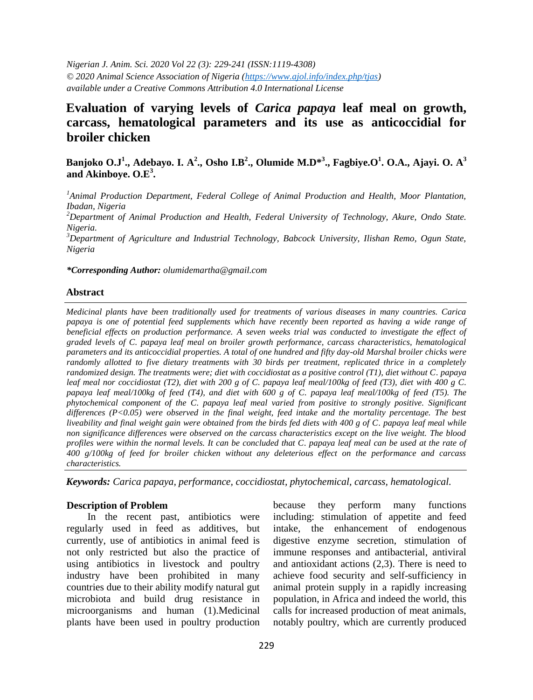*Nigerian J. Anim. Sci. 2020 Vol 22 (3): 229-241 (ISSN:1119-4308) © 2020 Animal Science Association of Nigeria [\(https://www.ajol.info/index.php/tjas\)](https://www.ajol.info/index.php/tjas) available under a Creative Commons Attribution 4.0 International License* 

# **Evaluation of varying levels of** *Carica papaya* **leaf meal on growth, carcass, hematological parameters and its use as anticoccidial for broiler chicken**

**Banjoko O.J<sup>1</sup> ., Adebayo. I. A<sup>2</sup> ., Osho I.B<sup>2</sup> ., Olumide M.D\* 3 ., Fagbiye.O<sup>1</sup> . O.A., Ajayi. O. A 3 and Akinboye. O.E<sup>3</sup> .**

*<sup>1</sup>Animal Production Department, Federal College of Animal Production and Health, Moor Plantation, Ibadan, Nigeria*

*<sup>2</sup>Department of Animal Production and Health, Federal University of Technology, Akure, Ondo State. Nigeria.*

*<sup>3</sup>Department of Agriculture and Industrial Technology, Babcock University, Ilishan Remo, Ogun State, Nigeria*

*\*Corresponding Author: olumidemartha@gmail.com*

#### **Abstract**

*Medicinal plants have been traditionally used for treatments of various diseases in many countries. Carica papaya is one of potential feed supplements which have recently been reported as having a wide range of beneficial effects on production performance. A seven weeks trial was conducted to investigate the effect of graded levels of C. papaya leaf meal on broiler growth performance, carcass characteristics, hematological parameters and its anticoccidial properties. A total of one hundred and fifty day-old Marshal broiler chicks were randomly allotted to five dietary treatments with 30 birds per treatment, replicated thrice in a completely randomized design. The treatments were; diet with coccidiostat as a positive control (T1), diet without C. papaya leaf meal nor coccidiostat (T2), diet with 200 g of C. papaya leaf meal/100kg of feed (T3), diet with 400 g C. papaya leaf meal/100kg of feed (T4), and diet with 600 g of C. papaya leaf meal/100kg of feed (T5). The phytochemical component of the C. papaya leaf meal varied from positive to strongly positive. Significant differences (P<0.05) were observed in the final weight, feed intake and the mortality percentage. The best liveability and final weight gain were obtained from the birds fed diets with 400 g of C. papaya leaf meal while non significance differences were observed on the carcass characteristics except on the live weight. The blood profiles were within the normal levels. It can be concluded that C. papaya leaf meal can be used at the rate of 400 g/100kg of feed for broiler chicken without any deleterious effect on the performance and carcass characteristics.* 

*Keywords: Carica papaya, performance, coccidiostat, phytochemical, carcass, hematological.*

#### **Description of Problem**

In the recent past, antibiotics were regularly used in feed as additives, but currently, use of antibiotics in animal feed is not only restricted but also the practice of using antibiotics in livestock and poultry industry have been prohibited in many countries due to their ability modify natural gut microbiota and build drug resistance in microorganisms and human (1).Medicinal plants have been used in poultry production

because they perform many functions including: stimulation of appetite and feed intake, the enhancement of endogenous digestive enzyme secretion, stimulation of immune responses and antibacterial, antiviral and antioxidant actions (2,3). There is need to achieve food security and self-sufficiency in animal protein supply in a rapidly increasing population, in Africa and indeed the world, this calls for increased production of meat animals, notably poultry, which are currently produced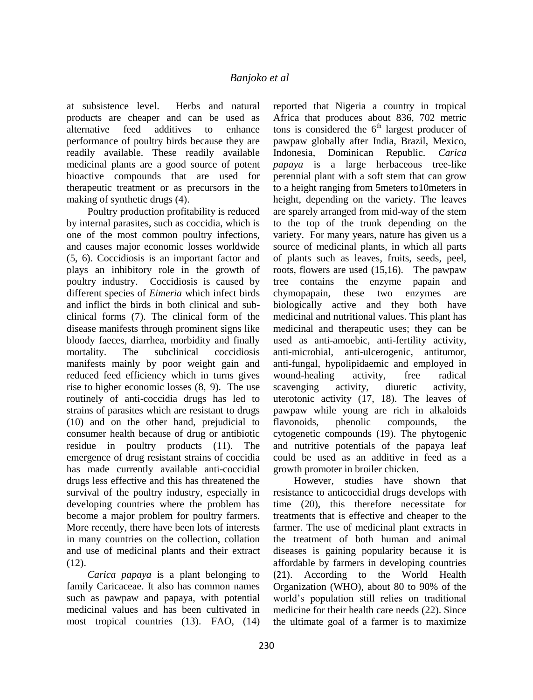at subsistence level. Herbs and natural products are cheaper and can be used as alternative feed additives to enhance performance of poultry birds because they are readily available. These readily available medicinal plants are a good source of potent bioactive compounds that are used for therapeutic treatment or as precursors in the making of synthetic drugs (4).

Poultry production profitability is reduced by internal parasites, such as coccidia, which is one of the most common poultry infections, and causes major economic losses worldwide (5, 6). Coccidiosis is an important factor and plays an inhibitory role in the growth of poultry industry. Coccidiosis is caused by different species of *Eimeria* which infect birds and inflict the birds in both clinical and subclinical forms (7). The clinical form of the disease manifests through prominent signs like bloody faeces, diarrhea, morbidity and finally mortality. The subclinical coccidiosis manifests mainly by poor weight gain and reduced feed efficiency which in turns gives rise to higher economic losses (8, 9). The use routinely of anti-coccidia drugs has led to strains of parasites which are resistant to drugs (10) and on the other hand, prejudicial to consumer health because of drug or antibiotic residue in poultry products (11). The emergence of drug resistant strains of coccidia has made currently available anti-coccidial drugs less effective and this has threatened the survival of the poultry industry, especially in developing countries where the problem has become a major problem for poultry farmers. More recently, there have been lots of interests in many countries on the collection, collation and use of medicinal plants and their extract (12).

*Carica papaya* is a plant belonging to family Caricaceae. It also has common names such as pawpaw and papaya, with potential medicinal values and has been cultivated in most tropical countries (13). FAO, (14)

reported that Nigeria a country in tropical Africa that produces about 836, 702 metric tons is considered the  $6<sup>th</sup>$  largest producer of pawpaw globally after India, Brazil, Mexico, Indonesia, Dominican Republic. *Carica papaya* is a large herbaceous tree-like perennial plant with a soft stem that can grow to a height ranging from 5meters to10meters in height, depending on the variety. The leaves are sparely arranged from mid-way of the stem to the top of the trunk depending on the variety. For many years, nature has given us a source of medicinal plants, in which all parts of plants such as leaves, fruits, seeds, peel, roots, flowers are used (15,16). The pawpaw tree contains the enzyme papain and chymopapain, these two enzymes are biologically active and they both have medicinal and nutritional values. This plant has medicinal and therapeutic uses; they can be used as anti-amoebic, anti-fertility activity, anti-microbial, anti-ulcerogenic, antitumor, anti-fungal, hypolipidaemic and employed in wound-healing activity, free radical scavenging activity, diuretic activity, uterotonic activity (17, 18). The leaves of pawpaw while young are rich in alkaloids flavonoids, phenolic compounds, cytogenetic compounds (19). The phytogenic and nutritive potentials of the papaya leaf could be used as an additive in feed as a growth promoter in broiler chicken.

However, studies have shown that resistance to anticoccidial drugs develops with time (20), this therefore necessitate for treatments that is effective and cheaper to the farmer. The use of medicinal plant extracts in the treatment of both human and animal diseases is gaining popularity because it is affordable by farmers in developing countries (21). According to the World Health Organization (WHO), about 80 to 90% of the world's population still relies on traditional medicine for their health care needs (22). Since the ultimate goal of a farmer is to maximize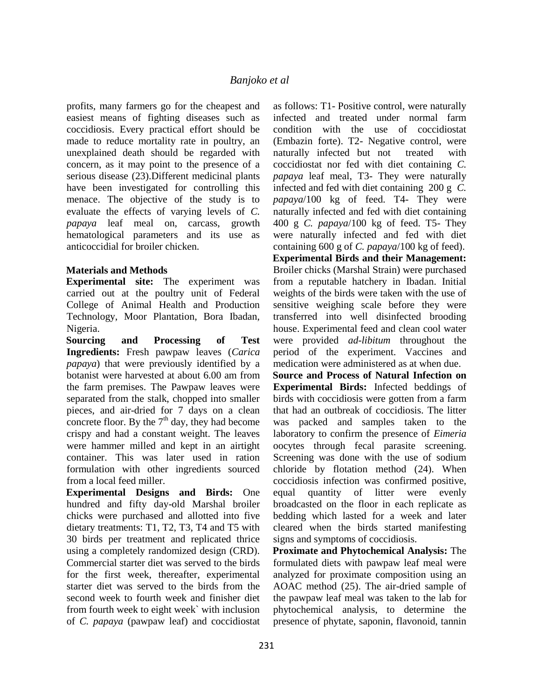profits, many farmers go for the cheapest and easiest means of fighting diseases such as coccidiosis. Every practical effort should be made to reduce mortality rate in poultry, an unexplained death should be regarded with concern, as it may point to the presence of a serious disease (23).Different medicinal plants have been investigated for controlling this menace. The objective of the study is to evaluate the effects of varying levels of *C. papaya* leaf meal on, carcass, growth hematological parameters and its use as anticoccidial for broiler chicken.

#### **Materials and Methods**

**Experimental site:** The experiment was carried out at the poultry unit of Federal College of Animal Health and Production Technology, Moor Plantation, Bora Ibadan, Nigeria.

**Sourcing and Processing of Test Ingredients:** Fresh pawpaw leaves (*Carica papaya*) that were previously identified by a botanist were harvested at about 6.00 am from the farm premises. The Pawpaw leaves were separated from the stalk, chopped into smaller pieces, and air-dried for 7 days on a clean concrete floor. By the  $7<sup>th</sup>$  day, they had become crispy and had a constant weight. The leaves were hammer milled and kept in an airtight container. This was later used in ration formulation with other ingredients sourced from a local feed miller.

**Experimental Designs and Birds:** One hundred and fifty day-old Marshal broiler chicks were purchased and allotted into five dietary treatments: T1, T2, T3, T4 and T5 with 30 birds per treatment and replicated thrice using a completely randomized design (CRD). Commercial starter diet was served to the birds for the first week, thereafter, experimental starter diet was served to the birds from the second week to fourth week and finisher diet from fourth week to eight week` with inclusion of *C. papaya* (pawpaw leaf) and coccidiostat

as follows: T1- Positive control, were naturally infected and treated under normal farm condition with the use of coccidiostat (Embazin forte). T2- Negative control, were naturally infected but not treated with coccidiostat nor fed with diet containing *C. papaya* leaf meal, T3- They were naturally infected and fed with diet containing 200 g *C. papaya*/100 kg of feed. T4- They were naturally infected and fed with diet containing 400 g *C. papaya*/100 kg of feed. T5- They were naturally infected and fed with diet containing 600 g of *C. papaya*/100 kg of feed). **Experimental Birds and their Management:** Broiler chicks (Marshal Strain) were purchased from a reputable hatchery in Ibadan. Initial weights of the birds were taken with the use of sensitive weighing scale before they were transferred into well disinfected brooding house. Experimental feed and clean cool water were provided *ad-libitum* throughout the period of the experiment. Vaccines and medication were administered as at when due.

**Source and Process of Natural Infection on Experimental Birds:** Infected beddings of birds with coccidiosis were gotten from a farm that had an outbreak of coccidiosis. The litter was packed and samples taken to the laboratory to confirm the presence of *Eimeria*  oocytes through fecal parasite screening. Screening was done with the use of sodium chloride by flotation method (24). When coccidiosis infection was confirmed positive, equal quantity of litter were evenly broadcasted on the floor in each replicate as bedding which lasted for a week and later cleared when the birds started manifesting signs and symptoms of coccidiosis.

**Proximate and Phytochemical Analysis:** The formulated diets with pawpaw leaf meal were analyzed for proximate composition using an AOAC method (25). The air-dried sample of the pawpaw leaf meal was taken to the lab for phytochemical analysis, to determine the presence of phytate, saponin, flavonoid, tannin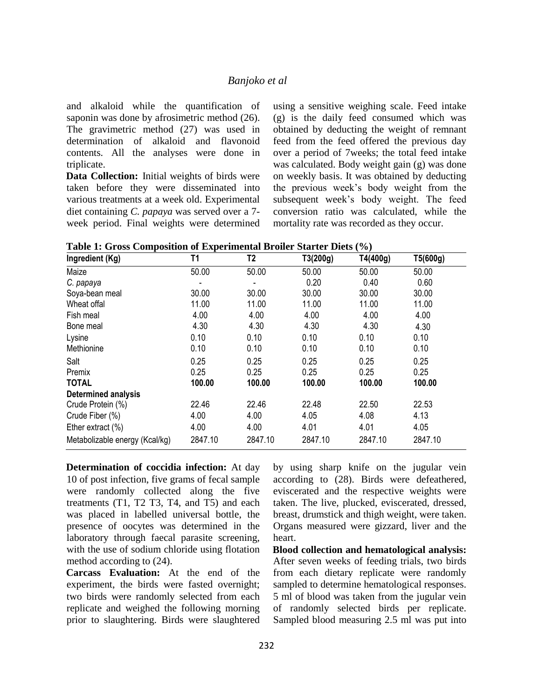and alkaloid while the quantification of saponin was done by afrosimetric method (26). The gravimetric method (27) was used in determination of alkaloid and flavonoid contents. All the analyses were done in triplicate.

**Data Collection:** Initial weights of birds were taken before they were disseminated into various treatments at a week old. Experimental diet containing *C. papaya* was served over a 7 week period. Final weights were determined using a sensitive weighing scale. Feed intake (g) is the daily feed consumed which was obtained by deducting the weight of remnant feed from the feed offered the previous day over a period of 7weeks; the total feed intake was calculated. Body weight gain (g) was done on weekly basis. It was obtained by deducting the previous week's body weight from the subsequent week's body weight. The feed conversion ratio was calculated, while the mortality rate was recorded as they occur.

|  | Table 1: Gross Composition of Experimental Broiler Starter Diets (%) |  |  |  |
|--|----------------------------------------------------------------------|--|--|--|
|--|----------------------------------------------------------------------|--|--|--|

| Ingredient (Kg)                | T1      | T <sub>2</sub> | T3(200g) | T4(400g) | T5(600g) |
|--------------------------------|---------|----------------|----------|----------|----------|
| Maize                          | 50.00   | 50.00          | 50.00    | 50.00    | 50.00    |
| C. papaya                      |         |                | 0.20     | 0.40     | 0.60     |
| Soya-bean meal                 | 30.00   | 30.00          | 30.00    | 30.00    | 30.00    |
| Wheat offal                    | 11.00   | 11.00          | 11.00    | 11.00    | 11.00    |
| Fish meal                      | 4.00    | 4.00           | 4.00     | 4.00     | 4.00     |
| Bone meal                      | 4.30    | 4.30           | 4.30     | 4.30     | 4.30     |
| Lysine                         | 0.10    | 0.10           | 0.10     | 0.10     | 0.10     |
| Methionine                     | 0.10    | 0.10           | 0.10     | 0.10     | 0.10     |
| Salt                           | 0.25    | 0.25           | 0.25     | 0.25     | 0.25     |
| Premix                         | 0.25    | 0.25           | 0.25     | 0.25     | 0.25     |
| <b>TOTAL</b>                   | 100.00  | 100.00         | 100.00   | 100.00   | 100.00   |
| <b>Determined analysis</b>     |         |                |          |          |          |
| Crude Protein (%)              | 22.46   | 22.46          | 22.48    | 22.50    | 22.53    |
| Crude Fiber (%)                | 4.00    | 4.00           | 4.05     | 4.08     | 4.13     |
| Ether extract $(\%)$           | 4.00    | 4.00           | 4.01     | 4.01     | 4.05     |
| Metabolizable energy (Kcal/kg) | 2847.10 | 2847.10        | 2847.10  | 2847.10  | 2847.10  |

**Determination of coccidia infection:** At day 10 of post infection, five grams of fecal sample were randomly collected along the five treatments (T1, T2 T3, T4, and T5) and each was placed in labelled universal bottle, the presence of oocytes was determined in the laboratory through faecal parasite screening, with the use of sodium chloride using flotation method according to (24).

**Carcass Evaluation:** At the end of the experiment, the birds were fasted overnight; two birds were randomly selected from each replicate and weighed the following morning prior to slaughtering. Birds were slaughtered by using sharp knife on the jugular vein according to (28). Birds were defeathered, eviscerated and the respective weights were taken. The live, plucked, eviscerated, dressed, breast, drumstick and thigh weight, were taken. Organs measured were gizzard, liver and the heart.

**Blood collection and hematological analysis:**  After seven weeks of feeding trials, two birds from each dietary replicate were randomly sampled to determine hematological responses. 5 ml of blood was taken from the jugular vein of randomly selected birds per replicate. Sampled blood measuring 2.5 ml was put into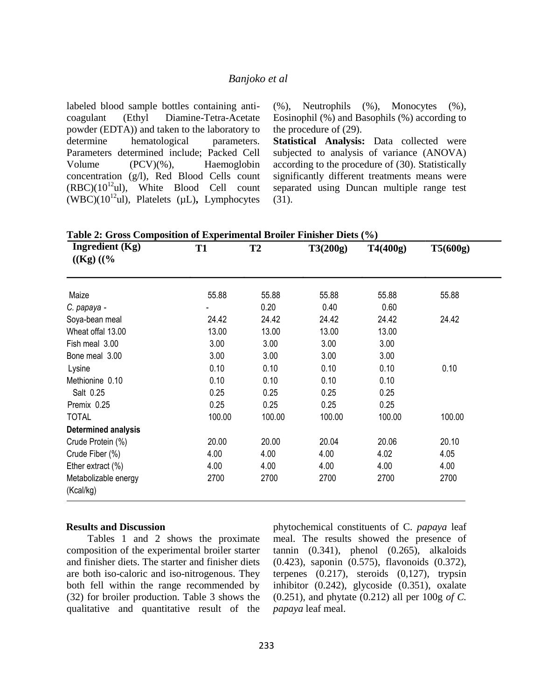labeled blood sample bottles containing anticoagulant (Ethyl Diamine-Tetra-Acetate powder (EDTA)) and taken to the laboratory to determine hematological parameters. Parameters determined include; Packed Cell Volume (PCV)(%), Haemoglobin concentration (g/l), Red Blood Cells count  $(RBC)(10^{12}ul)$ , White Blood Cell count (WBC)(10<sup>12</sup>ul), Platelets (µL)**,** Lymphocytes (%), Neutrophils (%), Monocytes (%), Eosinophil (%) and Basophils (%) according to the procedure of (29).

**Statistical Analysis:** Data collected were subjected to analysis of variance (ANOVA) according to the procedure of (30). Statistically significantly different treatments means were separated using Duncan multiple range test (31).

**Table 2: Gross Composition of Experimental Broiler Finisher Diets (%)** 

| Ingredient (Kg)<br>$((Kg) ((\%$   | <b>T1</b> | T2     | T3(200g) | T4(400g) | T5(600g) |
|-----------------------------------|-----------|--------|----------|----------|----------|
| Maize                             | 55.88     | 55.88  | 55.88    | 55.88    | 55.88    |
| C. papaya -                       |           | 0.20   | 0.40     | 0.60     |          |
| Soya-bean meal                    | 24.42     | 24.42  | 24.42    | 24.42    | 24.42    |
| Wheat offal 13.00                 | 13.00     | 13.00  | 13.00    | 13.00    |          |
| Fish meal 3.00                    | 3.00      | 3.00   | 3.00     | 3.00     |          |
| Bone meal 3.00                    | 3.00      | 3.00   | 3.00     | 3.00     |          |
| Lysine                            | 0.10      | 0.10   | 0.10     | 0.10     | 0.10     |
| Methionine 0.10                   | 0.10      | 0.10   | 0.10     | 0.10     |          |
| Salt 0.25                         | 0.25      | 0.25   | 0.25     | 0.25     |          |
| Premix 0.25                       | 0.25      | 0.25   | 0.25     | 0.25     |          |
| <b>TOTAL</b>                      | 100.00    | 100.00 | 100.00   | 100.00   | 100.00   |
| <b>Determined analysis</b>        |           |        |          |          |          |
| Crude Protein (%)                 | 20.00     | 20.00  | 20.04    | 20.06    | 20.10    |
| Crude Fiber (%)                   | 4.00      | 4.00   | 4.00     | 4.02     | 4.05     |
| Ether extract (%)                 | 4.00      | 4.00   | 4.00     | 4.00     | 4.00     |
| Metabolizable energy<br>(Kcal/kg) | 2700      | 2700   | 2700     | 2700     | 2700     |

#### **Results and Discussion**

Tables 1 and 2 shows the proximate composition of the experimental broiler starter and finisher diets. The starter and finisher diets are both iso-caloric and iso-nitrogenous. They both fell within the range recommended by (32) for broiler production. Table 3 shows the qualitative and quantitative result of the phytochemical constituents of C. *papaya* leaf meal. The results showed the presence of tannin  $(0.341)$ , phenol  $(0.265)$ , alkaloids (0.423), saponin (0.575), flavonoids (0.372), terpenes (0.217), steroids (0,127), trypsin inhibitor (0.242), glycoside (0.351), oxalate (0.251), and phytate (0.212) all per 100g *of C. papaya* leaf meal.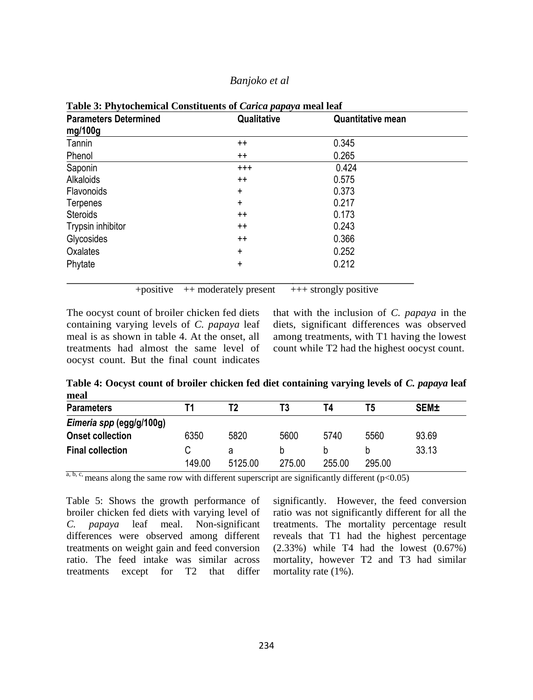| <b>Parameters Determined</b> | Qualitative | <b>Quantitative mean</b> |  |  |
|------------------------------|-------------|--------------------------|--|--|
| mg/100g                      |             |                          |  |  |
| Tannin                       | $^{++}$     | 0.345                    |  |  |
| Phenol                       | $^{++}$     | 0.265                    |  |  |
| Saponin                      | $^{+++}$    | 0.424                    |  |  |
| Alkaloids                    | $++$        | 0.575                    |  |  |
| Flavonoids                   | $\ddot{}$   | 0.373                    |  |  |
| Terpenes                     | $\ddot{}$   | 0.217                    |  |  |
| Steroids                     | $^{++}$     | 0.173                    |  |  |
| Trypsin inhibitor            | $^{++}$     | 0.243                    |  |  |
| Glycosides                   | $^{++}$     | 0.366                    |  |  |
| Oxalates                     | $\ddot{}$   | 0.252                    |  |  |
| Phytate                      | $\ddot{}$   | 0.212                    |  |  |
|                              |             |                          |  |  |

**Table 3: Phytochemical Constituents of** *Carica papaya* **meal leaf**

+positive  $++$  moderately present  $++$  strongly positive

The oocyst count of broiler chicken fed diets containing varying levels of *C. papaya* leaf meal is as shown in table 4. At the onset, all treatments had almost the same level of oocyst count. But the final count indicates that with the inclusion of *C. papaya* in the diets, significant differences was observed among treatments, with T1 having the lowest count while T2 had the highest oocyst count.

**Table 4: Oocyst count of broiler chicken fed diet containing varying levels of** *C. papaya* **leaf meal**

| <b>Parameters</b>        |        | Т2      |        | T4     | Τ5     | <b>SEM±</b> |
|--------------------------|--------|---------|--------|--------|--------|-------------|
| Eimeria spp (egg/g/100g) |        |         |        |        |        |             |
| <b>Onset collection</b>  | 6350   | 5820    | 5600   | 5740   | 5560   | 93.69       |
| <b>Final collection</b>  |        |         |        |        |        | 33.13       |
|                          | 149.00 | 5125.00 | 275.00 | 255.00 | 295.00 |             |

 $\overline{a}$ , b, c, means along the same row with different superscript are significantly different (p<0.05)

Table 5: Shows the growth performance of broiler chicken fed diets with varying level of *C. papaya* leaf meal. Non-significant differences were observed among different treatments on weight gain and feed conversion ratio. The feed intake was similar across treatments except for T2 that differ

significantly. However, the feed conversion ratio was not significantly different for all the treatments. The mortality percentage result reveals that T1 had the highest percentage (2.33%) while T4 had the lowest (0.67%) mortality, however T2 and T3 had similar mortality rate (1%).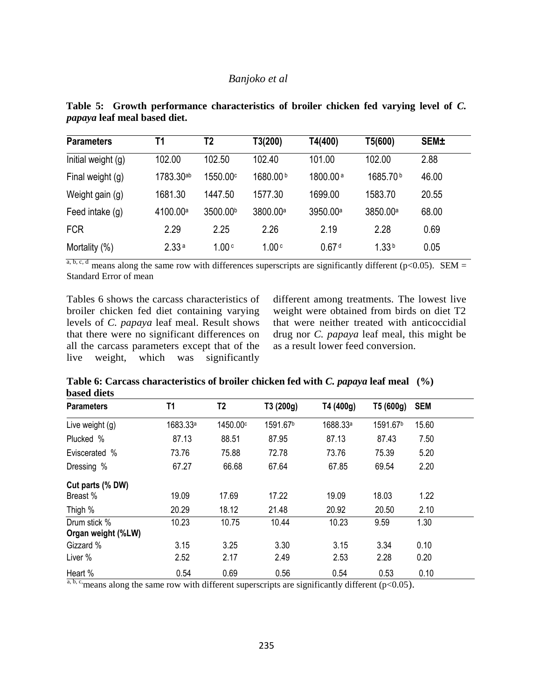| <b>Parameters</b>  | T <sub>1</sub>       | T2                   | T3(200)              | T4(400)              | T5(600)              | <b>SEM±</b> |  |
|--------------------|----------------------|----------------------|----------------------|----------------------|----------------------|-------------|--|
| Initial weight (g) | 102.00               | 102.50               | 102.40               | 101.00               | 102.00               | 2.88        |  |
| Final weight (g)   | 1783.30ab            | 1550.00°             | 1680.00b             | 1800.00 <sup>a</sup> | 1685.70 <sup>b</sup> | 46.00       |  |
| Weight gain (g)    | 1681.30              | 1447.50              | 1577.30              | 1699.00              | 1583.70              | 20.55       |  |
| Feed intake (g)    | 4100.00 <sup>a</sup> | 3500.00 <sup>b</sup> | 3800.00 <sup>a</sup> | 3950.00 <sup>a</sup> | 3850.00 <sup>a</sup> | 68.00       |  |
| <b>FCR</b>         | 2.29                 | 2.25                 | 2.26                 | 2.19                 | 2.28                 | 0.69        |  |
| Mortality (%)      | 2.33 <sup>a</sup>    | 1.00c                | 1.00 <sub>c</sub>    | 0.67 <sup>d</sup>    | 1.33 <sup>b</sup>    | 0.05        |  |

**Table 5: Growth performance characteristics of broiler chicken fed varying level of** *C. papaya* **leaf meal based diet.**

a, b, c, d means along the same row with differences superscripts are significantly different (p<0.05). SEM = Standard Error of mean

Tables 6 shows the carcass characteristics of broiler chicken fed diet containing varying levels of *C. papaya* leaf meal. Result shows that there were no significant differences on all the carcass parameters except that of the live weight, which was significantly different among treatments. The lowest live weight were obtained from birds on diet T2 that were neither treated with anticoccidial drug nor *C. papaya* leaf meal, this might be as a result lower feed conversion.

**Table 6: Carcass characteristics of broiler chicken fed with** *C. papaya* **leaf meal (%) based diets** 

| <b>Parameters</b>  | T1                   | T <sub>2</sub> | T3 (200g)            | T4 (400g)            | T5 (600g)            | <b>SEM</b> |  |
|--------------------|----------------------|----------------|----------------------|----------------------|----------------------|------------|--|
| Live weight (g)    | 1683.33 <sup>a</sup> | 1450.00c       | 1591.67 <sup>b</sup> | 1688.33 <sup>a</sup> | 1591.67 <sup>b</sup> | 15.60      |  |
| Plucked %          | 87.13                | 88.51          | 87.95                | 87.13                | 87.43                | 7.50       |  |
| Eviscerated %      | 73.76                | 75.88          | 72.78                | 73.76                | 75.39                | 5.20       |  |
| Dressing %         | 67.27                | 66.68          | 67.64                | 67.85                | 69.54                | 2.20       |  |
| Cut parts (% DW)   |                      |                |                      |                      |                      |            |  |
| Breast %           | 19.09                | 17.69          | 17.22                | 19.09                | 18.03                | 1.22       |  |
| Thigh %            | 20.29                | 18.12          | 21.48                | 20.92                | 20.50                | 2.10       |  |
| Drum stick %       | 10.23                | 10.75          | 10.44                | 10.23                | 9.59                 | 1.30       |  |
| Organ weight (%LW) |                      |                |                      |                      |                      |            |  |
| Gizzard %          | 3.15                 | 3.25           | 3.30                 | 3.15                 | 3.34                 | 0.10       |  |
| Liver %            | 2.52                 | 2.17           | 2.49                 | 2.53                 | 2.28                 | 0.20       |  |
| Heart %            | 0.54                 | 0.69           | 0.56                 | 0.54                 | 0.53                 | 0.10       |  |

 $a, b, c$ , means along the same row with different superscripts are significantly different (p<0.05).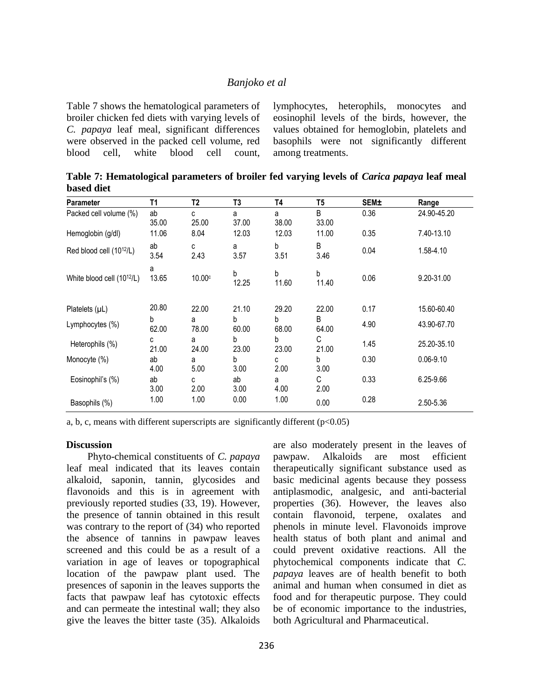Table 7 shows the hematological parameters of broiler chicken fed diets with varying levels of *C. papaya* leaf meal, significant differences were observed in the packed cell volume, red blood cell, white blood cell count,

lymphocytes, heterophils, monocytes and eosinophil levels of the birds, however, the values obtained for hemoglobin, platelets and basophils were not significantly different among treatments.

**Table 7: Hematological parameters of broiler fed varying levels of** *Carica papaya* **leaf meal based diet**

| Parameter                              | T1          | T2         | T3         | Τ4         | T5         | <b>SEM±</b> | Range         |
|----------------------------------------|-------------|------------|------------|------------|------------|-------------|---------------|
| Packed cell volume (%)                 | ab<br>35.00 | C<br>25.00 | a<br>37.00 | a<br>38.00 | B<br>33.00 | 0.36        | 24.90-45.20   |
| Hemoglobin (g/dl)                      | 11.06       | 8.04       | 12.03      | 12.03      | 11.00      | 0.35        | 7.40-13.10    |
| Red blood cell (10 <sup>12</sup> /L)   | ab<br>3.54  | c<br>2.43  | a<br>3.57  | b<br>3.51  | B<br>3.46  | 0.04        | 1.58-4.10     |
| White blood cell (10 <sup>12</sup> /L) | a<br>13.65  | 10.00c     | b<br>12.25 | b<br>11.60 | b<br>11.40 | 0.06        | 9.20-31.00    |
| Platelets $(\mu L)$                    | 20.80       | 22.00      | 21.10      | 29.20      | 22.00      | 0.17        | 15.60-60.40   |
| Lymphocytes $(\%)$                     | b<br>62.00  | a<br>78.00 | b<br>60.00 | b<br>68.00 | B<br>64.00 | 4.90        | 43.90-67.70   |
| Heterophils (%)                        | с<br>21.00  | а<br>24.00 | b<br>23.00 | b<br>23.00 | С<br>21.00 | 1.45        | 25.20-35.10   |
| Monocyte (%)                           | ab<br>4.00  | а<br>5.00  | b<br>3.00  | C<br>2.00  | b<br>3.00  | 0.30        | $0.06 - 9.10$ |
| Eosinophil's (%)                       | ab<br>3.00  | c<br>2.00  | ab<br>3.00 | a<br>4.00  | С<br>2.00  | 0.33        | 6.25-9.66     |
| Basophils (%)                          | 1.00        | 1.00       | 0.00       | 1.00       | 0.00       | 0.28        | 2.50-5.36     |

a, b, c, means with different superscripts are significantly different  $(p<0.05)$ 

#### **Discussion**

Phyto-chemical constituents of *C. papaya* leaf meal indicated that its leaves contain alkaloid, saponin, tannin, glycosides and flavonoids and this is in agreement with previously reported studies (33, 19). However, the presence of tannin obtained in this result was contrary to the report of (34) who reported the absence of tannins in pawpaw leaves screened and this could be as a result of a variation in age of leaves or topographical location of the pawpaw plant used. The presences of saponin in the leaves supports the facts that pawpaw leaf has cytotoxic effects and can permeate the intestinal wall; they also give the leaves the bitter taste (35). Alkaloids

are also moderately present in the leaves of pawpaw. Alkaloids are most efficient therapeutically significant substance used as basic medicinal agents because they possess antiplasmodic, analgesic, and anti-bacterial properties (36). However, the leaves also contain flavonoid, terpene, oxalates and phenols in minute level. Flavonoids improve health status of both plant and animal and could prevent oxidative reactions. All the phytochemical components indicate that *C. papaya* leaves are of health benefit to both animal and human when consumed in diet as food and for therapeutic purpose. They could be of economic importance to the industries, both Agricultural and Pharmaceutical.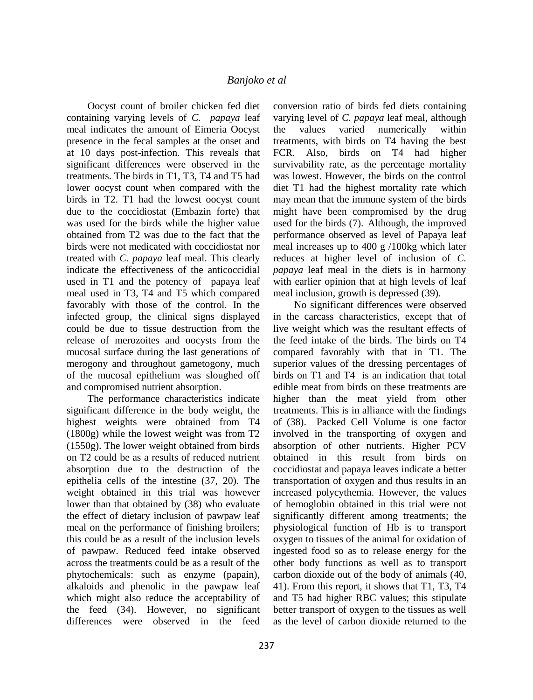Oocyst count of broiler chicken fed diet containing varying levels of *C. papaya* leaf meal indicates the amount of Eimeria Oocyst presence in the fecal samples at the onset and at 10 days post-infection. This reveals that significant differences were observed in the treatments. The birds in T1, T3, T4 and T5 had lower oocyst count when compared with the birds in T2. T1 had the lowest oocyst count due to the coccidiostat (Embazin forte) that was used for the birds while the higher value obtained from T2 was due to the fact that the birds were not medicated with coccidiostat nor treated with *C. papaya* leaf meal. This clearly indicate the effectiveness of the anticoccidial used in T1 and the potency of papaya leaf meal used in T3, T4 and T5 which compared favorably with those of the control. In the infected group, the clinical signs displayed could be due to tissue destruction from the release of merozoites and oocysts from the mucosal surface during the last generations of merogony and throughout gametogony, much of the mucosal epithelium was sloughed off and compromised nutrient absorption.

The performance characteristics indicate significant difference in the body weight, the highest weights were obtained from T4 (1800g) while the lowest weight was from T2 (1550g). The lower weight obtained from birds on T2 could be as a results of reduced nutrient absorption due to the destruction of the epithelia cells of the intestine (37, 20). The weight obtained in this trial was however lower than that obtained by (38) who evaluate the effect of dietary inclusion of pawpaw leaf meal on the performance of finishing broilers; this could be as a result of the inclusion levels of pawpaw. Reduced feed intake observed across the treatments could be as a result of the phytochemicals: such as enzyme (papain), alkaloids and phenolic in the pawpaw leaf which might also reduce the acceptability of the feed (34). However, no significant differences were observed in the feed

conversion ratio of birds fed diets containing varying level of *C. papaya* leaf meal, although the values varied numerically within treatments, with birds on T4 having the best FCR. Also, birds on T4 had higher survivability rate, as the percentage mortality was lowest. However, the birds on the control diet T1 had the highest mortality rate which may mean that the immune system of the birds might have been compromised by the drug used for the birds (7). Although, the improved performance observed as level of Papaya leaf meal increases up to 400 g /100kg which later reduces at higher level of inclusion of *C. papaya* leaf meal in the diets is in harmony with earlier opinion that at high levels of leaf meal inclusion, growth is depressed (39).

No significant differences were observed in the carcass characteristics, except that of live weight which was the resultant effects of the feed intake of the birds. The birds on T4 compared favorably with that in T1. The superior values of the dressing percentages of birds on T1 and T4 is an indication that total edible meat from birds on these treatments are higher than the meat yield from other treatments. This is in alliance with the findings of (38). Packed Cell Volume is one factor involved in the transporting of oxygen and absorption of other nutrients. Higher PCV obtained in this result from birds on coccidiostat and papaya leaves indicate a better transportation of oxygen and thus results in an increased polycythemia. However, the values of hemoglobin obtained in this trial were not significantly different among treatments; the physiological function of Hb is to transport oxygen to tissues of the animal for oxidation of ingested food so as to release energy for the other body functions as well as to transport carbon dioxide out of the body of animals (40, 41). From this report, it shows that T1, T3, T4 and T5 had higher RBC values; this stipulate better transport of oxygen to the tissues as well as the level of carbon dioxide returned to the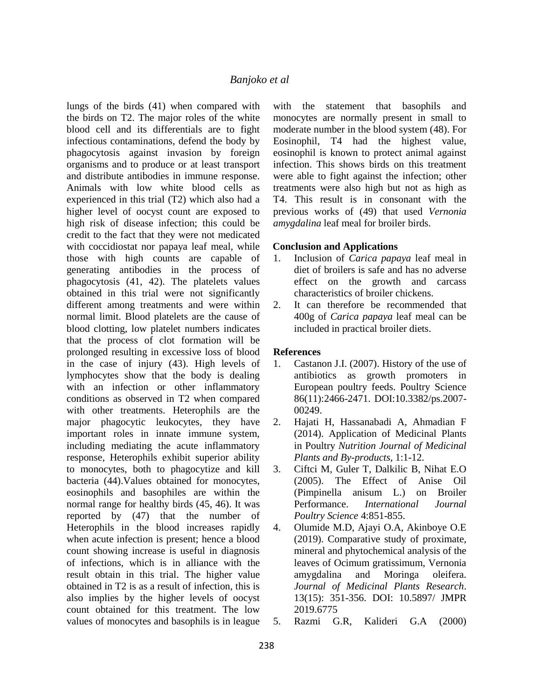lungs of the birds (41) when compared with the birds on T2. The major roles of the white blood cell and its differentials are to fight infectious contaminations, defend the body by phagocytosis against invasion by foreign organisms and to produce or at least transport and distribute antibodies in immune response. Animals with low white blood cells as experienced in this trial (T2) which also had a higher level of oocyst count are exposed to high risk of disease infection; this could be credit to the fact that they were not medicated with coccidiostat nor papaya leaf meal, while those with high counts are capable of generating antibodies in the process of phagocytosis (41, 42). The platelets values obtained in this trial were not significantly different among treatments and were within normal limit. Blood platelets are the cause of blood clotting, low platelet numbers indicates that the process of clot formation will be prolonged resulting in excessive loss of blood in the case of injury (43). High levels of lymphocytes show that the body is dealing with an infection or other inflammatory conditions as observed in T2 when compared with other treatments. Heterophils are the major phagocytic leukocytes, they have important roles in innate immune system, including mediating the acute inflammatory response, Heterophils exhibit superior ability to monocytes, both to phagocytize and kill bacteria (44).Values obtained for monocytes, eosinophils and basophiles are within the normal range for healthy birds (45, 46). It was reported by (47) that the number of Heterophils in the blood increases rapidly when acute infection is present; hence a blood count showing increase is useful in diagnosis of infections, which is in alliance with the result obtain in this trial. The higher value obtained in T2 is as a result of infection, this is also implies by the higher levels of oocyst count obtained for this treatment. The low values of monocytes and basophils is in league

with the statement that basophils and monocytes are normally present in small to moderate number in the blood system (48). For Eosinophil, T4 had the highest value, eosinophil is known to protect animal against infection. This shows birds on this treatment were able to fight against the infection; other treatments were also high but not as high as T4. This result is in consonant with the previous works of (49) that used *Vernonia amygdalina* leaf meal for broiler birds.

#### **Conclusion and Applications**

- 1. Inclusion of *Carica papaya* leaf meal in diet of broilers is safe and has no adverse effect on the growth and carcass characteristics of broiler chickens.
- 2. It can therefore be recommended that 400g of *Carica papaya* leaf meal can be included in practical broiler diets.

# **References**

- 1. Castanon J.I. (2007). History of the use of antibiotics as growth promoters in European poultry feeds. Poultry Science 86(11):2466-2471. DOI:10.3382/ps.2007- 00249.
- 2. Hajati H, Hassanabadi A, Ahmadian F (2014). Application of Medicinal Plants in Poultry *Nutrition Journal of Medicinal Plants and By-products*, 1:1-12.
- 3. Ciftci M, Guler T, Dalkilic B, Nihat E.O (2005). The Effect of Anise Oil (Pimpinella anisum L.) on Broiler Performance. *International Journal Poultry Science* 4:851-855.
- 4. Olumide M.D, Ajayi O.A, Akinboye O.E (2019). Comparative study of proximate, mineral and phytochemical analysis of the leaves of Ocimum gratissimum, Vernonia amygdalina and Moringa oleifera. *Journal of Medicinal Plants Research*. 13(15): 351-356. DOI: 10.5897/ JMPR 2019.6775
- 5. Razmi G.R, Kalideri G.A (2000)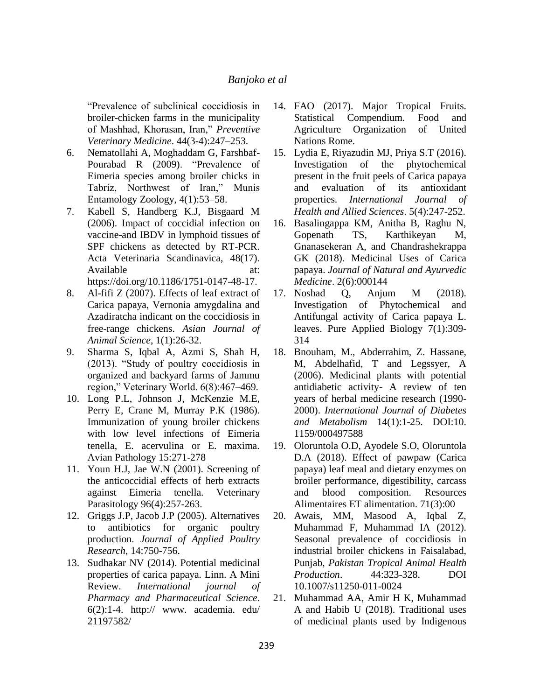"Prevalence of subclinical coccidiosis in broiler-chicken farms in the municipality of Mashhad, Khorasan, Iran," *Preventive Veterinary Medicine*. 44(3-4):247–253.

- 6. Nematollahi A, Moghaddam G, Farshbaf-Pourabad R (2009). "Prevalence of Eimeria species among broiler chicks in Tabriz, Northwest of Iran," Munis Entamology Zoology, 4(1):53–58.
- 7. Kabell S, Handberg K.J, Bisgaard M (2006). Impact of coccidial infection on vaccine-and IBDV in lymphoid tissues of SPF chickens as detected by RT-PCR. Acta Veterinaria Scandinavica, 48(17). Available at: https://doi.org/10.1186/1751-0147-48-17.
- 8. Al-fifi Z (2007). Effects of leaf extract of Carica papaya, Vernonia amygdalina and Azadiratcha indicant on the coccidiosis in free-range chickens. *Asian Journal of Animal Science*, 1(1):26-32.
- 9. Sharma S, Iqbal A, Azmi S, Shah H, (2013). "Study of poultry coccidiosis in organized and backyard farms of Jammu region," Veterinary World. 6(8):467–469.
- 10. Long P.L, Johnson J, McKenzie M.E, Perry E, Crane M, Murray P.K (1986). Immunization of young broiler chickens with low level infections of Eimeria tenella, E. acervulina or E. maxima. Avian Pathology 15:271-278
- 11. Youn H.J, Jae W.N (2001). Screening of the anticoccidial effects of herb extracts against Eimeria tenella. Veterinary Parasitology 96(4):257-263.
- 12. Griggs J.P, Jacob J.P (2005). Alternatives to antibiotics for organic poultry production. *Journal of Applied Poultry Research*, 14:750-756.
- 13. Sudhakar NV (2014). Potential medicinal properties of carica papaya. Linn. A Mini Review. *International journal of Pharmacy and Pharmaceutical Science*.  $6(2)$ :1-4. http:// www. academia. edu/ 21197582[/](http://www.academia.edu/21197582/)
- 14. FAO (2017). Major Tropical Fruits. Statistical Compendium. Food and Agriculture Organization of United Nations Rome.
- 15. Lydia E, Riyazudin MJ, Priya S.T (2016). Investigation of the phytochemical present in the fruit peels of Carica papaya and evaluation of its antioxidant properties. *International Journal of Health and Allied Sciences*. 5(4):247-252.
- 16. Basalingappa KM, Anitha B, Raghu N, Gopenath TS, Karthikeyan M, Gnanasekeran A, and Chandrashekrappa GK (2018). Medicinal Uses of Carica papaya. *Journal of Natural and Ayurvedic Medicine*. 2(6):000144
- 17. Noshad Q, Anjum M (2018). Investigation of Phytochemical and Antifungal activity of Carica papaya L. leaves. Pure Applied Biology 7(1):309- 314
- 18. Bnouham, M., Abderrahim, Z. Hassane, M, Abdelhafid, T and Legssyer, A (2006). Medicinal plants with potential antidiabetic activity- A review of ten years of herbal medicine research (1990- 2000). *International Journal of Diabetes and Metabolism* 14(1):1-25. DOI:10. 1159/000497588
- 19. Oloruntola O.D, Ayodele S.O, Oloruntola D.A (2018). Effect of pawpaw (Carica papaya) leaf meal and dietary enzymes on broiler performance, digestibility, carcass and blood composition. Resources Alimentaires ET alimentation. 71(3):00
- 20. Awais, MM, Masood A, Iqbal Z, Muhammad F, Muhammad IA (2012). Seasonal prevalence of coccidiosis in industrial broiler chickens in Faisalabad, Punjab, *Pakistan Tropical Animal Health Production*. 44:323-328. DOI 10.1007/s11250-011-0024
- 21. Muhammad AA, Amir H K, Muhammad A and Habib U (2018). Traditional uses of medicinal plants used by Indigenous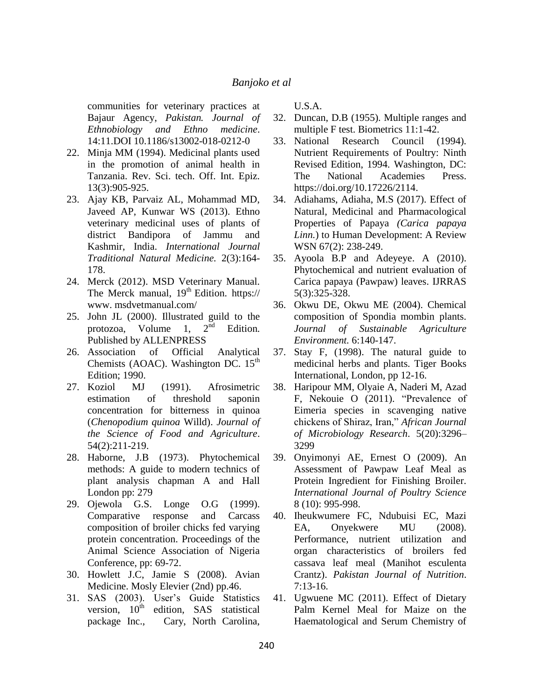communities for veterinary practices at Bajaur Agency, *Pakistan. Journal of Ethnobiology and Ethno medicine*. 14:11.DOI 10.1186/s13002-018-0212-0

- 22. Minja MM (1994). Medicinal plants used in the promotion of animal health in Tanzania. Rev. Sci. tech. Off. Int. Epiz. 13(3):905-925.
- 23. Ajay KB, Parvaiz AL, Mohammad MD, Javeed AP, Kunwar WS (2013). Ethno veterinary medicinal uses of plants of district Bandipora of Jammu and Kashmir, India. *International Journal Traditional Natural Medicine.* 2(3):164- 178.
- 24. Merck (2012). MSD Veterinary Manual. The Merck manual,  $19<sup>th</sup>$  Edition. https:// www. msdvetmanual.com/
- 25. John JL (2000). Illustrated guild to the protozoa, Volume 1,  $2<sup>nd</sup>$  Edition. Published by ALLENPRESS
- 26. Association of Official Analytical Chemists (AOAC). Washington DC.  $15<sup>th</sup>$ Edition; 1990.
- 27. Koziol MJ (1991). Afrosimetric estimation of threshold saponin concentration for bitterness in quinoa (*Chenopodium quinoa* Willd). *Journal of the Science of Food and Agriculture*. 54(2):211-219.
- 28. Haborne, J.B (1973). Phytochemical methods: A guide to modern technics of plant analysis chapman A and Hall London pp: 279
- 29. Ojewola G.S. Longe O.G (1999). Comparative response and Carcass composition of broiler chicks fed varying protein concentration. Proceedings of the Animal Science Association of Nigeria Conference, pp: 69-72.
- 30. Howlett J.C, Jamie S (2008). Avian Medicine. Mosly Elevier (2nd) pp.46.
- 31. SAS (2003). User's Guide Statistics version,  $10^{th}$  edition, SAS statistical package Inc., Cary, North Carolina,

U.S.A.

- 32. Duncan, D.B (1955). Multiple ranges and multiple F test. Biometrics 11:1-42.
- 33. National Research Council (1994). Nutrient Requirements of Poultry: Ninth Revised Edition, 1994. Washington, DC: The National Academies Press. [https://doi.org/10.17226/2114.](https://doi.org/10.17226/2114)
- 34. Adiahams, Adiaha, M.S (2017). Effect of Natural, Medicinal and Pharmacological Properties of Papaya *(Carica papaya Linn.*) to Human Development: A Review WSN 67(2): 238-249.
- 35. Ayoola B.P and Adeyeye. A (2010). Phytochemical and nutrient evaluation of Carica papaya (Pawpaw) leaves. IJRRAS 5(3):325-328.
- 36. Okwu DE, Okwu ME (2004). Chemical composition of Spondia mombin plants. *Journal of Sustainable Agriculture Environment.* 6:140-147.
- 37. Stay F, (1998). The natural guide to medicinal herbs and plants. Tiger Books International, London, pp 12-16.
- 38. Haripour MM, Olyaie A, Naderi M, Azad F, Nekouie O (2011). "Prevalence of Eimeria species in scavenging native chickens of Shiraz, Iran," *African Journal of Microbiology Research*. 5(20):3296– 3299
- 39. Onyimonyi AE, Ernest O (2009). An Assessment of Pawpaw Leaf Meal as Protein Ingredient for Finishing Broiler. *International Journal of Poultry Science* 8 (10): 995-998.
- 40. Iheukwumere FC, Ndubuisi EC, Mazi EA, Onyekwere MU (2008). Performance, nutrient utilization and organ characteristics of broilers fed cassava leaf meal (Manihot esculenta Crantz). *Pakistan Journal of Nutrition*. 7:13-16.
- 41. Ugwuene MC (2011). Effect of Dietary Palm Kernel Meal for Maize on the Haematological and Serum Chemistry of